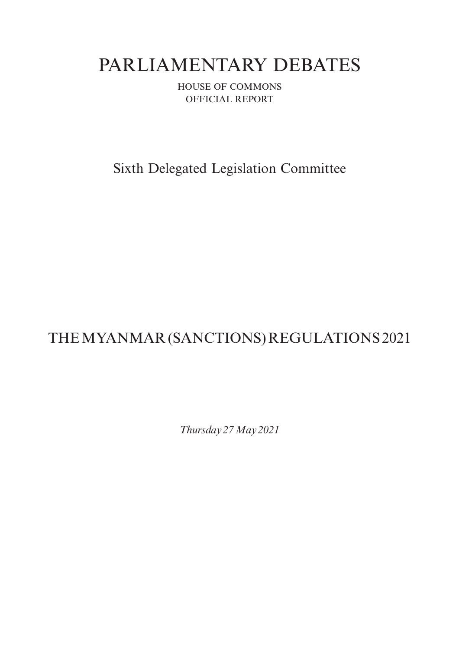# PARLIAMENTARY DEBATES

HOUSE OF COMMONS OFFICIAL REPORT

Sixth Delegated Legislation Committee

# THE MYANMAR (SANCTIONS) REGULATIONS2021

*Thursday 27May2021*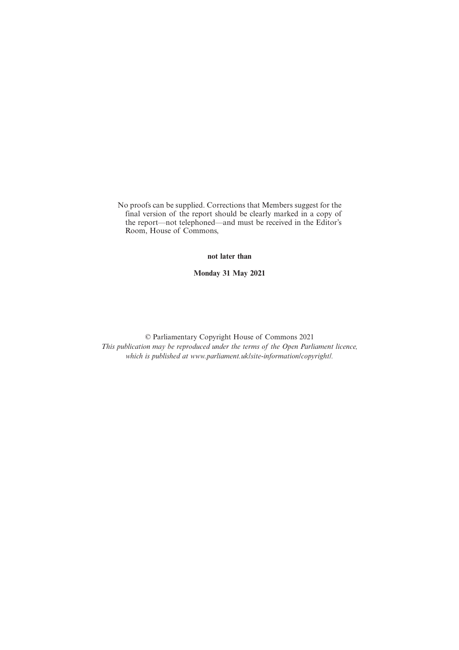No proofs can be supplied. Corrections that Members suggest for the final version of the report should be clearly marked in a copy of the report—not telephoned—and must be received in the Editor's Room, House of Commons,

**not later than**

**Monday 31 May 2021**

© Parliamentary Copyright House of Commons 2021 *This publication may be reproduced under the terms of the Open Parliament licence, which is published at www.parliament.uk/site-information/copyright/.*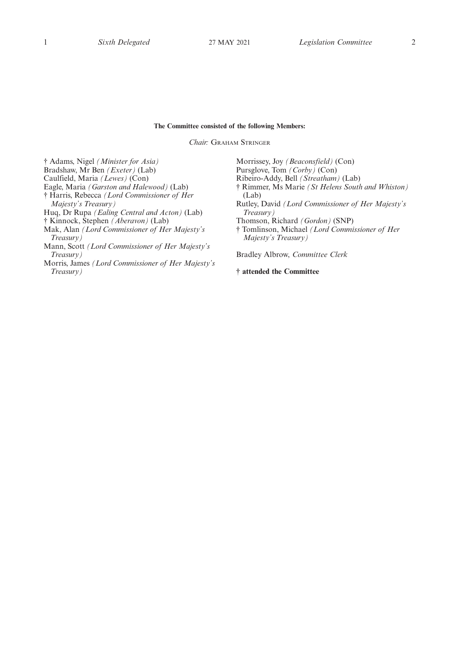## **The Committee consisted of the following Members:**

*Chair:* GRAHAM STRINGER

† Adams, Nigel *(Minister for Asia)* Bradshaw, Mr Ben *(Exeter)* (Lab)

- Caulfield, Maria *(Lewes)* (Con)
- Eagle, Maria *(Garston and Halewood)* (Lab)

† Harris, Rebecca *(Lord Commissioner of Her*

- *Majesty's Treasury)*
- Huq, Dr Rupa *(Ealing Central and Acton)* (Lab)
- † Kinnock, Stephen *(Aberavon)* (Lab)
- Mak, Alan *(Lord Commissioner of Her Majesty's Treasury)*
- Mann, Scott *(Lord Commissioner of Her Majesty's Treasury)*
- Morris, James *(Lord Commissioner of Her Majesty's Treasury)*

Morrissey, Joy *(Beaconsfield)* (Con) Pursglove, Tom *(Corby)* (Con) Ribeiro-Addy, Bell *(Streatham)* (Lab) † Rimmer, Ms Marie *(St Helens South and Whiston)* (Lab) Rutley, David *(Lord Commissioner of Her Majesty's Treasury)* Thomson, Richard *(Gordon)* (SNP) † Tomlinson, Michael *(Lord Commissioner of Her Majesty's Treasury)* Bradley Albrow, *Committee Clerk*

**† attended the Committee**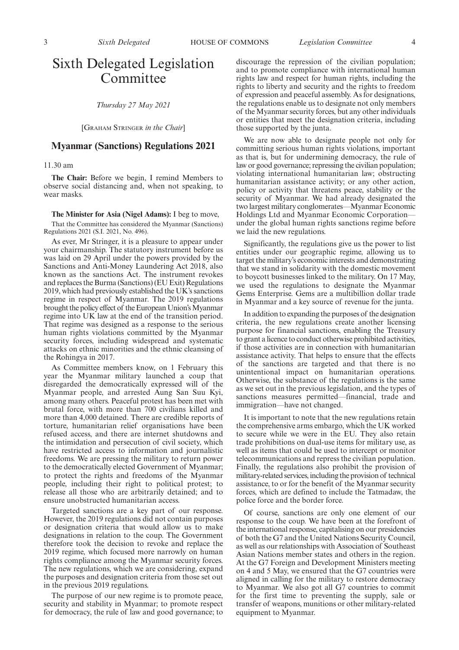# Sixth Delegated Legislation **Committee**

*Thursday 27 May 2021*

[GRAHAM STRINGER *in the Chair*]

# **Myanmar (Sanctions) Regulations 2021**

11.30 am

**The Chair:** Before we begin, I remind Members to observe social distancing and, when not speaking, to wear masks.

**The Minister for Asia (Nigel Adams):** I beg to move,

That the Committee has considered the Myanmar (Sanctions) Regulations 2021 (S.I. 2021, No. 496).

As ever, Mr Stringer, it is a pleasure to appear under your chairmanship. The statutory instrument before us was laid on 29 April under the powers provided by the Sanctions and Anti-Money Laundering Act 2018, also known as the sanctions Act. The instrument revokes and replaces the Burma (Sanctions) (EU Exit) Regulations 2019, which had previously established the UK's sanctions regime in respect of Myanmar. The 2019 regulations brought the policy effect of the European Union's Myanmar regime into UK law at the end of the transition period. That regime was designed as a response to the serious human rights violations committed by the Myanmar security forces, including widespread and systematic attacks on ethnic minorities and the ethnic cleansing of the Rohingya in 2017.

As Committee members know, on 1 February this year the Myanmar military launched a coup that disregarded the democratically expressed will of the Myanmar people, and arrested Aung San Suu Kyi, among many others. Peaceful protest has been met with brutal force, with more than 700 civilians killed and more than 4,000 detained. There are credible reports of torture, humanitarian relief organisations have been refused access, and there are internet shutdowns and the intimidation and persecution of civil society, which have restricted access to information and journalistic freedoms. We are pressing the military to return power to the democratically elected Government of Myanmar; to protect the rights and freedoms of the Myanmar people, including their right to political protest; to release all those who are arbitrarily detained; and to ensure unobstructed humanitarian access.

Targeted sanctions are a key part of our response. However, the 2019 regulations did not contain purposes or designation criteria that would allow us to make designations in relation to the coup. The Government therefore took the decision to revoke and replace the 2019 regime, which focused more narrowly on human rights compliance among the Myanmar security forces. The new regulations, which we are considering, expand the purposes and designation criteria from those set out in the previous 2019 regulations.

The purpose of our new regime is to promote peace, security and stability in Myanmar; to promote respect for democracy, the rule of law and good governance; to discourage the repression of the civilian population; and to promote compliance with international human rights law and respect for human rights, including the rights to liberty and security and the rights to freedom of expression and peaceful assembly. As for designations, the regulations enable us to designate not only members of the Myanmar security forces, but any other individuals or entities that meet the designation criteria, including those supported by the junta.

We are now able to designate people not only for committing serious human rights violations, important as that is, but for undermining democracy, the rule of law or good governance; repressing the civilian population; violating international humanitarian law; obstructing humanitarian assistance activity; or any other action, policy or activity that threatens peace, stability or the security of Myanmar. We had already designated the two largest military conglomerates—Myanmar Economic Holdings Ltd and Myanmar Economic Corporation under the global human rights sanctions regime before we laid the new regulations.

Significantly, the regulations give us the power to list entities under our geographic regime, allowing us to target the military's economic interests and demonstrating that we stand in solidarity with the domestic movement to boycott businesses linked to the military. On 17 May, we used the regulations to designate the Myanmar Gems Enterprise. Gems are a multibillion dollar trade in Myanmar and a key source of revenue for the junta.

In addition to expanding the purposes of the designation criteria, the new regulations create another licensing purpose for financial sanctions, enabling the Treasury to grant a licence to conduct otherwise prohibited activities, if those activities are in connection with humanitarian assistance activity. That helps to ensure that the effects of the sanctions are targeted and that there is no unintentional impact on humanitarian operations. Otherwise, the substance of the regulations is the same as we set out in the previous legislation, and the types of sanctions measures permitted—financial, trade and immigration—have not changed.

It is important to note that the new regulations retain the comprehensive arms embargo, which the UK worked to secure while we were in the EU. They also retain trade prohibitions on dual-use items for military use, as well as items that could be used to intercept or monitor telecommunications and repress the civilian population. Finally, the regulations also prohibit the provision of military-related services, including the provision of technical assistance, to or for the benefit of the Myanmar security forces, which are defined to include the Tatmadaw, the police force and the border force.

Of course, sanctions are only one element of our response to the coup. We have been at the forefront of the international response, capitalising on our presidencies of both the G7 and the United Nations Security Council, as well as our relationships with Association of Southeast Asian Nations member states and others in the region. At the G7 Foreign and Development Ministers meeting on 4 and 5 May, we ensured that the G7 countries were aligned in calling for the military to restore democracy to Myanmar. We also got all G7 countries to commit for the first time to preventing the supply, sale or transfer of weapons, munitions or other military-related equipment to Myanmar.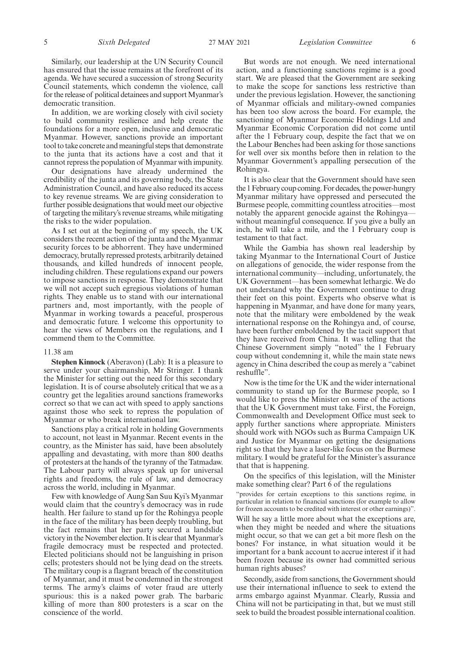Similarly, our leadership at the UN Security Council has ensured that the issue remains at the forefront of its agenda. We have secured a succession of strong Security Council statements, which condemn the violence, call for the release of political detainees and support Myanmar's democratic transition.

In addition, we are working closely with civil society to build community resilience and help create the foundations for a more open, inclusive and democratic Myanmar. However, sanctions provide an important tool to take concrete and meaningful steps that demonstrate to the junta that its actions have a cost and that it cannot repress the population of Myanmar with impunity.

Our designations have already undermined the credibility of the junta and its governing body, the State Administration Council, and have also reduced its access to key revenue streams. We are giving consideration to further possible designations that would meet our objective of targeting the military's revenue streams, while mitigating the risks to the wider population.

As I set out at the beginning of my speech, the UK considers the recent action of the junta and the Myanmar security forces to be abhorrent. They have undermined democracy, brutally repressed protests, arbitrarily detained thousands, and killed hundreds of innocent people, including children. These regulations expand our powers to impose sanctions in response. They demonstrate that we will not accept such egregious violations of human rights. They enable us to stand with our international partners and, most importantly, with the people of Myanmar in working towards a peaceful, prosperous and democratic future. I welcome this opportunity to hear the views of Members on the regulations, and I commend them to the Committee.

#### 11.38 am

**Stephen Kinnock** (Aberavon) (Lab): It is a pleasure to serve under your chairmanship, Mr Stringer. I thank the Minister for setting out the need for this secondary legislation. It is of course absolutely critical that we as a country get the legalities around sanctions frameworks correct so that we can act with speed to apply sanctions against those who seek to repress the population of Myanmar or who break international law.

Sanctions play a critical role in holding Governments to account, not least in Myanmar. Recent events in the country, as the Minister has said, have been absolutely appalling and devastating, with more than 800 deaths of protesters at the hands of the tyranny of the Tatmadaw. The Labour party will always speak up for universal rights and freedoms, the rule of law, and democracy across the world, including in Myanmar.

Few with knowledge of Aung San Suu Kyi's Myanmar would claim that the country's democracy was in rude health. Her failure to stand up for the Rohingya people in the face of the military has been deeply troubling, but the fact remains that her party secured a landslide victory in the November election. It is clear that Myanmar's fragile democracy must be respected and protected. Elected politicians should not be languishing in prison cells; protesters should not be lying dead on the streets. The military coup is a flagrant breach of the constitution of Myanmar, and it must be condemned in the strongest terms. The army's claims of voter fraud are utterly spurious: this is a naked power grab. The barbaric killing of more than 800 protesters is a scar on the conscience of the world.

But words are not enough. We need international action, and a functioning sanctions regime is a good start. We are pleased that the Government are seeking to make the scope for sanctions less restrictive than under the previous legislation. However, the sanctioning of Myanmar officials and military-owned companies has been too slow across the board. For example, the sanctioning of Myanmar Economic Holdings Ltd and Myanmar Economic Corporation did not come until after the 1 February coup, despite the fact that we on the Labour Benches had been asking for those sanctions for well over six months before then in relation to the Myanmar Government's appalling persecution of the Rohingya.

It is also clear that the Government should have seen the 1 February coup coming. For decades, the power-hungry Myanmar military have oppressed and persecuted the Burmese people, committing countless atrocities—most notably the apparent genocide against the Rohingya without meaningful consequence. If you give a bully an inch, he will take a mile, and the 1 February coup is testament to that fact.

While the Gambia has shown real leadership by taking Myanmar to the International Court of Justice on allegations of genocide, the wider response from the international community—including, unfortunately, the UK Government—has been somewhat lethargic. We do not understand why the Government continue to drag their feet on this point. Experts who observe what is happening in Myanmar, and have done for many years, note that the military were emboldened by the weak international response on the Rohingya and, of course, have been further emboldened by the tacit support that they have received from China. It was telling that the Chinese Government simply "noted" the 1 February coup without condemning it, while the main state news agency in China described the coup as merely a "cabinet reshuffle".

Now is the time for the UK and the wider international community to stand up for the Burmese people, so I would like to press the Minister on some of the actions that the UK Government must take. First, the Foreign, Commonwealth and Development Office must seek to apply further sanctions where appropriate. Ministers should work with NGOs such as Burma Campaign UK and Justice for Myanmar on getting the designations right so that they have a laser-like focus on the Burmese military. I would be grateful for the Minister's assurance that that is happening.

On the specifics of this legislation, will the Minister make something clear? Part 6 of the regulations

"provides for certain exceptions to this sanctions regime, in particular in relation to financial sanctions (for example to allow for frozen accounts to be credited with interest or other earnings)".

Will he say a little more about what the exceptions are, when they might be needed and where the situations might occur, so that we can get a bit more flesh on the bones? For instance, in what situation would it be important for a bank account to accrue interest if it had been frozen because its owner had committed serious human rights abuses?

Secondly, aside from sanctions, the Government should use their international influence to seek to extend the arms embargo against Myanmar. Clearly, Russia and China will not be participating in that, but we must still seek to build the broadest possible international coalition.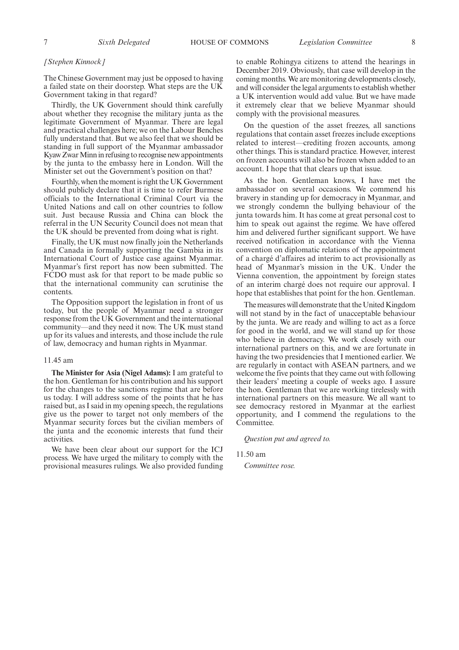### *[Stephen Kinnock]*

The Chinese Government may just be opposed to having a failed state on their doorstep. What steps are the UK Government taking in that regard?

Thirdly, the UK Government should think carefully about whether they recognise the military junta as the legitimate Government of Myanmar. There are legal and practical challenges here; we on the Labour Benches fully understand that. But we also feel that we should be standing in full support of the Myanmar ambassador Kyaw Zwar Minn in refusing to recognise new appointments by the junta to the embassy here in London. Will the Minister set out the Government's position on that?

Fourthly, when the moment is right the UK Government should publicly declare that it is time to refer Burmese officials to the International Criminal Court via the United Nations and call on other countries to follow suit. Just because Russia and China can block the referral in the UN Security Council does not mean that the UK should be prevented from doing what is right.

Finally, the UK must now finally join the Netherlands and Canada in formally supporting the Gambia in its International Court of Justice case against Myanmar. Myanmar's first report has now been submitted. The FCDO must ask for that report to be made public so that the international community can scrutinise the contents.

The Opposition support the legislation in front of us today, but the people of Myanmar need a stronger response from the UK Government and the international community—and they need it now. The UK must stand up for its values and interests, and those include the rule of law, democracy and human rights in Myanmar.

### 11.45 am

**The Minister for Asia (Nigel Adams):** I am grateful to the hon. Gentleman for his contribution and his support for the changes to the sanctions regime that are before us today. I will address some of the points that he has raised but, as I said in my opening speech, the regulations give us the power to target not only members of the Myanmar security forces but the civilian members of the junta and the economic interests that fund their activities.

We have been clear about our support for the ICJ process. We have urged the military to comply with the provisional measures rulings. We also provided funding to enable Rohingya citizens to attend the hearings in December 2019. Obviously, that case will develop in the coming months. We are monitoring developments closely, and will consider the legal arguments to establish whether a UK intervention would add value. But we have made it extremely clear that we believe Myanmar should comply with the provisional measures.

On the question of the asset freezes, all sanctions regulations that contain asset freezes include exceptions related to interest—crediting frozen accounts, among other things. This is standard practice. However, interest on frozen accounts will also be frozen when added to an account. I hope that that clears up that issue.

As the hon. Gentleman knows, I have met the ambassador on several occasions. We commend his bravery in standing up for democracy in Myanmar, and we strongly condemn the bullying behaviour of the junta towards him. It has come at great personal cost to him to speak out against the regime. We have offered him and delivered further significant support. We have received notification in accordance with the Vienna convention on diplomatic relations of the appointment of a chargé d'affaires ad interim to act provisionally as head of Myanmar's mission in the UK. Under the Vienna convention, the appointment by foreign states of an interim chargé does not require our approval. I hope that establishes that point for the hon. Gentleman.

The measures will demonstrate that the United Kingdom will not stand by in the fact of unacceptable behaviour by the junta. We are ready and willing to act as a force for good in the world, and we will stand up for those who believe in democracy. We work closely with our international partners on this, and we are fortunate in having the two presidencies that I mentioned earlier. We are regularly in contact with ASEAN partners, and we welcome the five points that they came out with following their leaders' meeting a couple of weeks ago. I assure the hon. Gentleman that we are working tirelessly with international partners on this measure. We all want to see democracy restored in Myanmar at the earliest opportunity, and I commend the regulations to the Committee.

*Question put and agreed to.*

11.50 am

*Committee rose.*